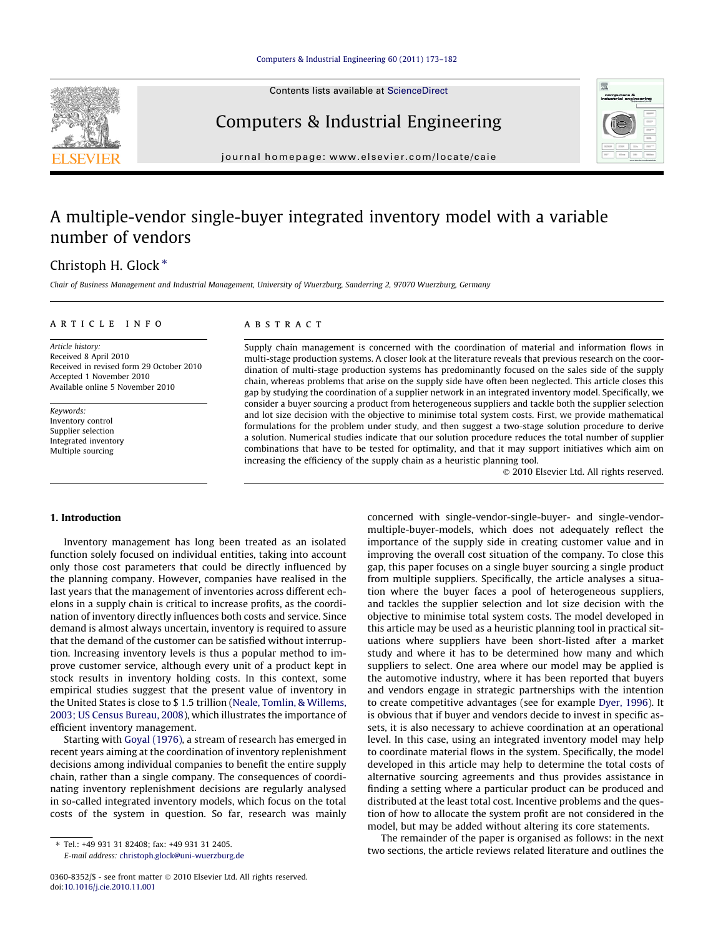

Contents lists available at [ScienceDirect](http://www.sciencedirect.com/science/journal/03608352)

## Computers & Industrial Engineering



journal homepage: [www.elsevier.com/locate/caie](http://www.elsevier.com/locate/caie)

# A multiple-vendor single-buyer integrated inventory model with a variable number of vendors

### Christoph H. Glock  $*$

Chair of Business Management and Industrial Management, University of Wuerzburg, Sanderring 2, 97070 Wuerzburg, Germany

#### article info

Article history: Received 8 April 2010 Received in revised form 29 October 2010 Accepted 1 November 2010 Available online 5 November 2010

Keywords: Inventory control Supplier selection Integrated inventory Multiple sourcing

#### ABSTRACT

Supply chain management is concerned with the coordination of material and information flows in multi-stage production systems. A closer look at the literature reveals that previous research on the coordination of multi-stage production systems has predominantly focused on the sales side of the supply chain, whereas problems that arise on the supply side have often been neglected. This article closes this gap by studying the coordination of a supplier network in an integrated inventory model. Specifically, we consider a buyer sourcing a product from heterogeneous suppliers and tackle both the supplier selection and lot size decision with the objective to minimise total system costs. First, we provide mathematical formulations for the problem under study, and then suggest a two-stage solution procedure to derive a solution. Numerical studies indicate that our solution procedure reduces the total number of supplier combinations that have to be tested for optimality, and that it may support initiatives which aim on increasing the efficiency of the supply chain as a heuristic planning tool.

- 2010 Elsevier Ltd. All rights reserved.

#### 1. Introduction

Inventory management has long been treated as an isolated function solely focused on individual entities, taking into account only those cost parameters that could be directly influenced by the planning company. However, companies have realised in the last years that the management of inventories across different echelons in a supply chain is critical to increase profits, as the coordination of inventory directly influences both costs and service. Since demand is almost always uncertain, inventory is required to assure that the demand of the customer can be satisfied without interruption. Increasing inventory levels is thus a popular method to improve customer service, although every unit of a product kept in stock results in inventory holding costs. In this context, some empirical studies suggest that the present value of inventory in the United States is close to \$ 1.5 trillion [\(Neale, Tomlin, & Willems,](#page--1-0) [2003; US Census Bureau, 2008\)](#page--1-0), which illustrates the importance of efficient inventory management.

Starting with [Goyal \(1976\)](#page--1-0), a stream of research has emerged in recent years aiming at the coordination of inventory replenishment decisions among individual companies to benefit the entire supply chain, rather than a single company. The consequences of coordinating inventory replenishment decisions are regularly analysed in so-called integrated inventory models, which focus on the total costs of the system in question. So far, research was mainly

⇑ Tel.: +49 931 31 82408; fax: +49 931 31 2405. E-mail address: [christoph.glock@uni-wuerzburg.de](mailto:christoph.glock@uni-wuerzburg.de) concerned with single-vendor-single-buyer- and single-vendormultiple-buyer-models, which does not adequately reflect the importance of the supply side in creating customer value and in improving the overall cost situation of the company. To close this gap, this paper focuses on a single buyer sourcing a single product from multiple suppliers. Specifically, the article analyses a situation where the buyer faces a pool of heterogeneous suppliers, and tackles the supplier selection and lot size decision with the objective to minimise total system costs. The model developed in this article may be used as a heuristic planning tool in practical situations where suppliers have been short-listed after a market study and where it has to be determined how many and which suppliers to select. One area where our model may be applied is the automotive industry, where it has been reported that buyers and vendors engage in strategic partnerships with the intention to create competitive advantages (see for example [Dyer, 1996](#page--1-0)). It is obvious that if buyer and vendors decide to invest in specific assets, it is also necessary to achieve coordination at an operational level. In this case, using an integrated inventory model may help to coordinate material flows in the system. Specifically, the model developed in this article may help to determine the total costs of alternative sourcing agreements and thus provides assistance in finding a setting where a particular product can be produced and distributed at the least total cost. Incentive problems and the question of how to allocate the system profit are not considered in the model, but may be added without altering its core statements.

The remainder of the paper is organised as follows: in the next two sections, the article reviews related literature and outlines the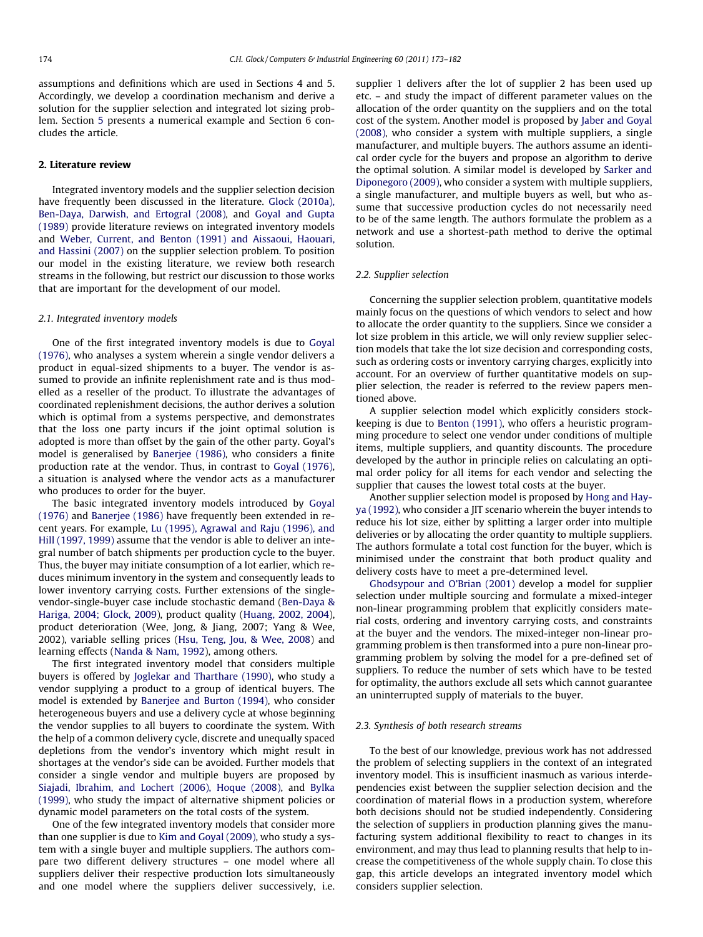assumptions and definitions which are used in Sections 4 and 5. Accordingly, we develop a coordination mechanism and derive a solution for the supplier selection and integrated lot sizing problem. Section [5](#page--1-0) presents a numerical example and Section 6 concludes the article.

#### 2. Literature review

Integrated inventory models and the supplier selection decision have frequently been discussed in the literature. [Glock \(2010a\),](#page--1-0) [Ben-Daya, Darwish, and Ertogral \(2008\)](#page--1-0), and [Goyal and Gupta](#page--1-0) [\(1989\)](#page--1-0) provide literature reviews on integrated inventory models and [Weber, Current, and Benton \(1991\) and Aissaoui, Haouari,](#page--1-0) [and Hassini \(2007\)](#page--1-0) on the supplier selection problem. To position our model in the existing literature, we review both research streams in the following, but restrict our discussion to those works that are important for the development of our model.

#### 2.1. Integrated inventory models

One of the first integrated inventory models is due to [Goyal](#page--1-0) [\(1976\),](#page--1-0) who analyses a system wherein a single vendor delivers a product in equal-sized shipments to a buyer. The vendor is assumed to provide an infinite replenishment rate and is thus modelled as a reseller of the product. To illustrate the advantages of coordinated replenishment decisions, the author derives a solution which is optimal from a systems perspective, and demonstrates that the loss one party incurs if the joint optimal solution is adopted is more than offset by the gain of the other party. Goyal's model is generalised by [Banerjee \(1986\),](#page--1-0) who considers a finite production rate at the vendor. Thus, in contrast to [Goyal \(1976\),](#page--1-0) a situation is analysed where the vendor acts as a manufacturer who produces to order for the buyer.

The basic integrated inventory models introduced by [Goyal](#page--1-0) [\(1976\)](#page--1-0) and [Banerjee \(1986\)](#page--1-0) have frequently been extended in recent years. For example, [Lu \(1995\), Agrawal and Raju \(1996\), and](#page--1-0) [Hill \(1997, 1999\)](#page--1-0) assume that the vendor is able to deliver an integral number of batch shipments per production cycle to the buyer. Thus, the buyer may initiate consumption of a lot earlier, which reduces minimum inventory in the system and consequently leads to lower inventory carrying costs. Further extensions of the singlevendor-single-buyer case include stochastic demand ([Ben-Daya &](#page--1-0) [Hariga, 2004; Glock, 2009\)](#page--1-0), product quality [\(Huang, 2002, 2004\)](#page--1-0), product deterioration (Wee, Jong, & Jiang, 2007; Yang & Wee, 2002), variable selling prices [\(Hsu, Teng, Jou, & Wee, 2008](#page--1-0)) and learning effects ([Nanda & Nam, 1992\)](#page--1-0), among others.

The first integrated inventory model that considers multiple buyers is offered by [Joglekar and Tharthare \(1990\)](#page--1-0), who study a vendor supplying a product to a group of identical buyers. The model is extended by [Banerjee and Burton \(1994\),](#page--1-0) who consider heterogeneous buyers and use a delivery cycle at whose beginning the vendor supplies to all buyers to coordinate the system. With the help of a common delivery cycle, discrete and unequally spaced depletions from the vendor's inventory which might result in shortages at the vendor's side can be avoided. Further models that consider a single vendor and multiple buyers are proposed by [Siajadi, Ibrahim, and Lochert \(2006\), Hoque \(2008\),](#page--1-0) and [Bylka](#page--1-0) [\(1999\),](#page--1-0) who study the impact of alternative shipment policies or dynamic model parameters on the total costs of the system.

One of the few integrated inventory models that consider more than one supplier is due to [Kim and Goyal \(2009\),](#page--1-0) who study a system with a single buyer and multiple suppliers. The authors compare two different delivery structures – one model where all suppliers deliver their respective production lots simultaneously and one model where the suppliers deliver successively, i.e. supplier 1 delivers after the lot of supplier 2 has been used up etc. – and study the impact of different parameter values on the allocation of the order quantity on the suppliers and on the total cost of the system. Another model is proposed by [Jaber and Goyal](#page--1-0) [\(2008\),](#page--1-0) who consider a system with multiple suppliers, a single manufacturer, and multiple buyers. The authors assume an identical order cycle for the buyers and propose an algorithm to derive the optimal solution. A similar model is developed by [Sarker and](#page--1-0) [Diponegoro \(2009\)](#page--1-0), who consider a system with multiple suppliers, a single manufacturer, and multiple buyers as well, but who assume that successive production cycles do not necessarily need to be of the same length. The authors formulate the problem as a network and use a shortest-path method to derive the optimal solution.

#### 2.2. Supplier selection

Concerning the supplier selection problem, quantitative models mainly focus on the questions of which vendors to select and how to allocate the order quantity to the suppliers. Since we consider a lot size problem in this article, we will only review supplier selection models that take the lot size decision and corresponding costs, such as ordering costs or inventory carrying charges, explicitly into account. For an overview of further quantitative models on supplier selection, the reader is referred to the review papers mentioned above.

A supplier selection model which explicitly considers stockkeeping is due to [Benton \(1991\),](#page--1-0) who offers a heuristic programming procedure to select one vendor under conditions of multiple items, multiple suppliers, and quantity discounts. The procedure developed by the author in principle relies on calculating an optimal order policy for all items for each vendor and selecting the supplier that causes the lowest total costs at the buyer.

Another supplier selection model is proposed by [Hong and Hay](#page--1-0)[ya \(1992\)](#page--1-0), who consider a JIT scenario wherein the buyer intends to reduce his lot size, either by splitting a larger order into multiple deliveries or by allocating the order quantity to multiple suppliers. The authors formulate a total cost function for the buyer, which is minimised under the constraint that both product quality and delivery costs have to meet a pre-determined level.

[Ghodsypour and O'Brian \(2001\)](#page--1-0) develop a model for supplier selection under multiple sourcing and formulate a mixed-integer non-linear programming problem that explicitly considers material costs, ordering and inventory carrying costs, and constraints at the buyer and the vendors. The mixed-integer non-linear programming problem is then transformed into a pure non-linear programming problem by solving the model for a pre-defined set of suppliers. To reduce the number of sets which have to be tested for optimality, the authors exclude all sets which cannot guarantee an uninterrupted supply of materials to the buyer.

#### 2.3. Synthesis of both research streams

To the best of our knowledge, previous work has not addressed the problem of selecting suppliers in the context of an integrated inventory model. This is insufficient inasmuch as various interdependencies exist between the supplier selection decision and the coordination of material flows in a production system, wherefore both decisions should not be studied independently. Considering the selection of suppliers in production planning gives the manufacturing system additional flexibility to react to changes in its environment, and may thus lead to planning results that help to increase the competitiveness of the whole supply chain. To close this gap, this article develops an integrated inventory model which considers supplier selection.